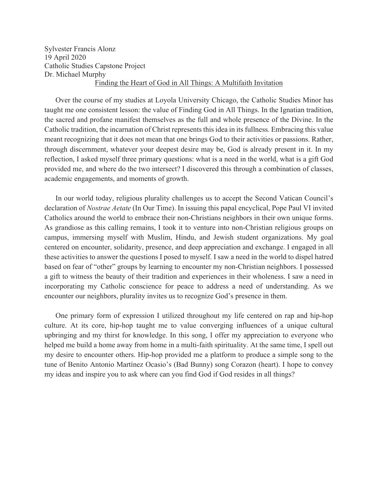Sylvester Francis Alonz 19 April 2020 Catholic Studies Capstone Project Dr. Michael Murphy Finding the Heart of God in All Things: A Multifaith Invitation

 Over the course of my studies at Loyola University Chicago, the Catholic Studies Minor has taught me one consistent lesson: the value of Finding God in All Things. In the Ignatian tradition, the sacred and profane manifest themselves as the full and whole presence of the Divine. In the Catholic tradition, the incarnation of Christ represents this idea in its fullness. Embracing this value meant recognizing that it does not mean that one brings God to their activities or passions. Rather, through discernment, whatever your deepest desire may be, God is already present in it. In my reflection, I asked myself three primary questions: what is a need in the world, what is a gift God provided me, and where do the two intersect? I discovered this through a combination of classes, academic engagements, and moments of growth.

 In our world today, religious plurality challenges us to accept the Second Vatican Council's declaration of *Nostrae Aetate* (In Our Time). In issuing this papal encyclical, Pope Paul VI invited Catholics around the world to embrace their non-Christians neighbors in their own unique forms. As grandiose as this calling remains, I took it to venture into non-Christian religious groups on campus, immersing myself with Muslim, Hindu, and Jewish student organizations. My goal centered on encounter, solidarity, presence, and deep appreciation and exchange. I engaged in all these activities to answer the questions I posed to myself. I saw a need in the world to dispel hatred based on fear of "other" groups by learning to encounter my non-Christian neighbors. I possessed a gift to witness the beauty of their tradition and experiences in their wholeness. I saw a need in incorporating my Catholic conscience for peace to address a need of understanding. As we encounter our neighbors, plurality invites us to recognize God's presence in them.

 One primary form of expression I utilized throughout my life centered on rap and hip-hop culture. At its core, hip-hop taught me to value converging influences of a unique cultural upbringing and my thirst for knowledge. In this song, I offer my appreciation to everyone who helped me build a home away from home in a multi-faith spirituality. At the same time, I spell out my desire to encounter others. Hip-hop provided me a platform to produce a simple song to the tune of Benito Antonio Martínez Ocasio's (Bad Bunny) song Corazon (heart). I hope to convey my ideas and inspire you to ask where can you find God if God resides in all things?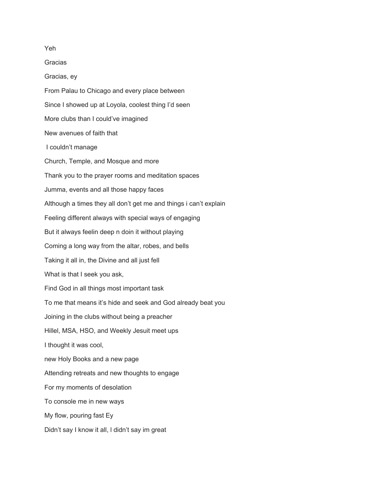Yeh **Gracias** Gracias, ey From Palau to Chicago and every place between Since I showed up at Loyola, coolest thing I'd seen More clubs than I could've imagined New avenues of faith that I couldn't manage Church, Temple, and Mosque and more Thank you to the prayer rooms and meditation spaces Jumma, events and all those happy faces Although a times they all don't get me and things i can't explain Feeling different always with special ways of engaging But it always feelin deep n doin it without playing Coming a long way from the altar, robes, and bells Taking it all in, the Divine and all just fell What is that I seek you ask, Find God in all things most important task To me that means it's hide and seek and God already beat you Joining in the clubs without being a preacher Hillel, MSA, HSO, and Weekly Jesuit meet ups I thought it was cool, new Holy Books and a new page Attending retreats and new thoughts to engage For my moments of desolation To console me in new ways My flow, pouring fast Ey Didn't say I know it all, l didn't say im great